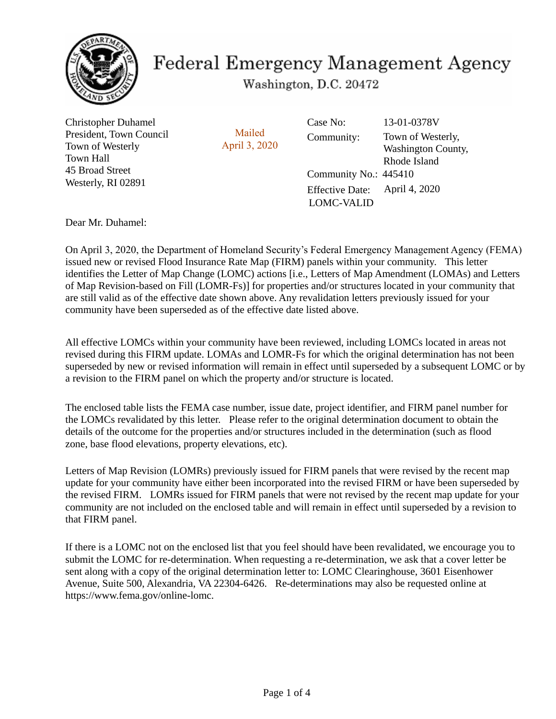

## **Federal Emergency Management Agency**

Washington, D.C. 20472

Christopher Duhamel President, Town Council Town of Westerly Town Hall 45 Broad Street Westerly, RI 02891

Mailed April 3, 2020

Community No.: 445410 Effective Date: Community: Case No: April 4, 2020 13-01-0378V Town of Westerly, Washington County, Rhode Island LOMC-VALID

Dear Mr. Duhamel:

On April 3, 2020, the Department of Homeland Security's Federal Emergency Management Agency (FEMA) issued new or revised Flood Insurance Rate Map (FIRM) panels within your community. This letter identifies the Letter of Map Change (LOMC) actions [i.e., Letters of Map Amendment (LOMAs) and Letters of Map Revision-based on Fill (LOMR-Fs)] for properties and/or structures located in your community that are still valid as of the effective date shown above. Any revalidation letters previously issued for your community have been superseded as of the effective date listed above.

All effective LOMCs within your community have been reviewed, including LOMCs located in areas not revised during this FIRM update. LOMAs and LOMR-Fs for which the original determination has not been superseded by new or revised information will remain in effect until superseded by a subsequent LOMC or by a revision to the FIRM panel on which the property and/or structure is located.

The enclosed table lists the FEMA case number, issue date, project identifier, and FIRM panel number for the LOMCs revalidated by this letter. Please refer to the original determination document to obtain the details of the outcome for the properties and/or structures included in the determination (such as flood zone, base flood elevations, property elevations, etc).

Letters of Map Revision (LOMRs) previously issued for FIRM panels that were revised by the recent map update for your community have either been incorporated into the revised FIRM or have been superseded by the revised FIRM. LOMRs issued for FIRM panels that were not revised by the recent map update for your community are not included on the enclosed table and will remain in effect until superseded by a revision to that FIRM panel.

If there is a LOMC not on the enclosed list that you feel should have been revalidated, we encourage you to submit the LOMC for re-determination. When requesting a re-determination, we ask that a cover letter be sent along with a copy of the original determination letter to: LOMC Clearinghouse, 3601 Eisenhower Avenue, Suite 500, Alexandria, VA 22304-6426. Re-determinations may also be requested online at https://www.fema.gov/online-lomc.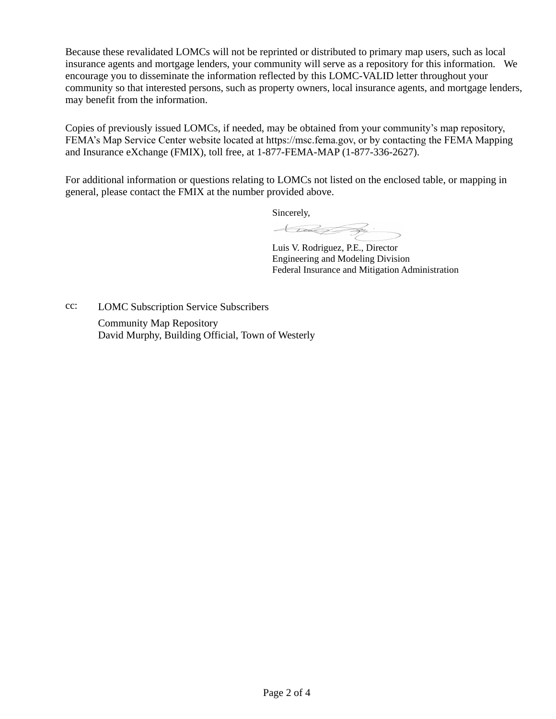Because these revalidated LOMCs will not be reprinted or distributed to primary map users, such as local insurance agents and mortgage lenders, your community will serve as a repository for this information. We encourage you to disseminate the information reflected by this LOMC-VALID letter throughout your community so that interested persons, such as property owners, local insurance agents, and mortgage lenders, may benefit from the information.

Copies of previously issued LOMCs, if needed, may be obtained from your community's map repository, FEMA's Map Service Center website located at https://msc.fema.gov, or by contacting the FEMA Mapping and Insurance eXchange (FMIX), toll free, at 1-877-FEMA-MAP (1-877-336-2627).

For additional information or questions relating to LOMCs not listed on the enclosed table, or mapping in general, please contact the FMIX at the number provided above.

Sincerely,

today ?

Luis V. Rodriguez, P.E., Director Engineering and Modeling Division Federal Insurance and Mitigation Administration

Community Map Repository David Murphy, Building Official, Town of Westerly cc: LOMC Subscription Service Subscribers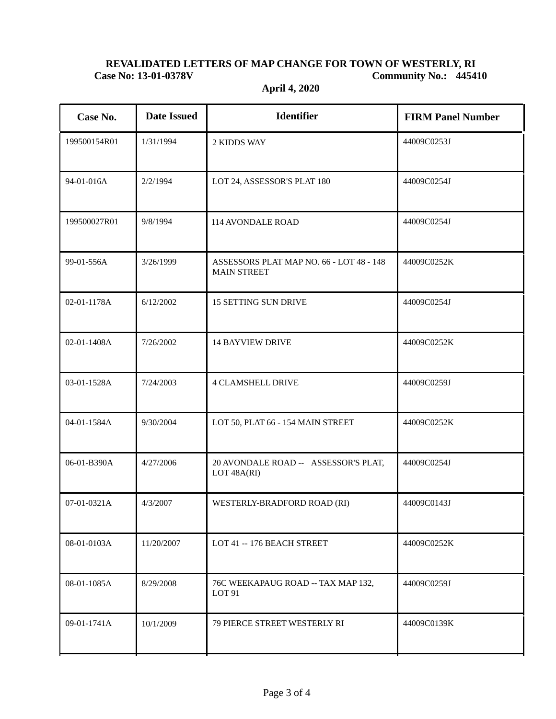## **REVALIDATED LETTERS OF MAP CHANGE FOR TOWN OF WESTERLY, RI Case No: 13-01-0378V Community No.: 445410**

| Case No.     | <b>Date Issued</b> | <b>Identifier</b>                                              | <b>FIRM Panel Number</b> |
|--------------|--------------------|----------------------------------------------------------------|--------------------------|
| 199500154R01 | 1/31/1994          | 2 KIDDS WAY                                                    | 44009C0253J              |
| 94-01-016A   | 2/2/1994           | LOT 24, ASSESSOR'S PLAT 180                                    | 44009C0254J              |
| 199500027R01 | 9/8/1994           | 114 AVONDALE ROAD                                              | 44009C0254J              |
| 99-01-556A   | 3/26/1999          | ASSESSORS PLAT MAP NO. 66 - LOT 48 - 148<br><b>MAIN STREET</b> | 44009C0252K              |
| 02-01-1178A  | 6/12/2002          | <b>15 SETTING SUN DRIVE</b>                                    | 44009C0254J              |
| 02-01-1408A  | 7/26/2002          | <b>14 BAYVIEW DRIVE</b>                                        | 44009C0252K              |
| 03-01-1528A  | 7/24/2003          | <b>4 CLAMSHELL DRIVE</b>                                       | 44009C0259J              |
| 04-01-1584A  | 9/30/2004          | LOT 50, PLAT 66 - 154 MAIN STREET                              | 44009C0252K              |
| 06-01-B390A  | 4/27/2006          | 20 AVONDALE ROAD -- ASSESSOR'S PLAT,<br>LOT 48A(RI)            | 44009C0254J              |
| 07-01-0321A  | 4/3/2007           | WESTERLY-BRADFORD ROAD (RI)                                    | 44009C0143J              |
| 08-01-0103A  | 11/20/2007         | LOT 41 -- 176 BEACH STREET                                     | 44009C0252K              |
| 08-01-1085A  | 8/29/2008          | 76C WEEKAPAUG ROAD -- TAX MAP 132,<br>LOT <sub>91</sub>        | 44009C0259J              |
| 09-01-1741A  | 10/1/2009          | 79 PIERCE STREET WESTERLY RI                                   | 44009C0139K              |

**April 4, 2020**